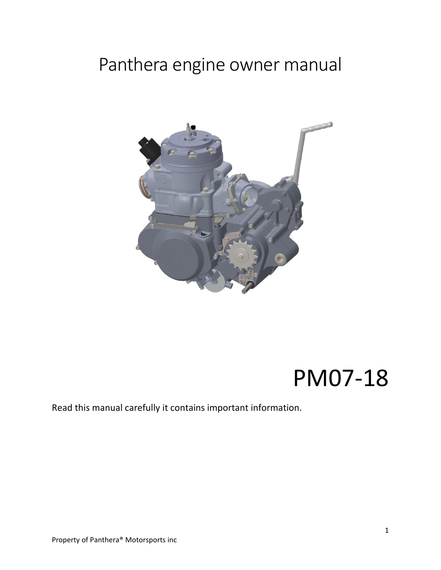# Panthera engine owner manual



# PM07-18

### Read this manual carefully it contains important information.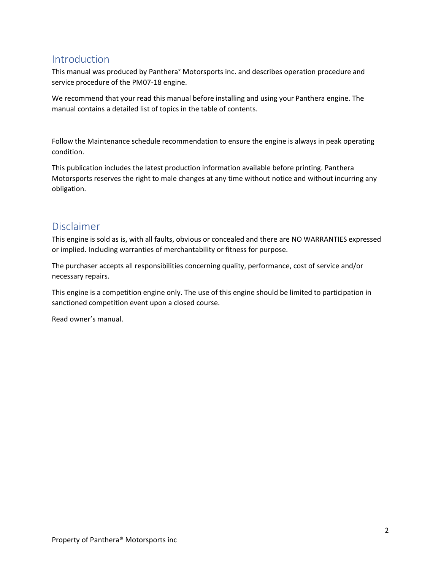### <span id="page-1-0"></span>Introduction

This manual was produced by Panthera° Motorsports inc. and describes operation procedure and service procedure of the PM07-18 engine.

We recommend that your read this manual before installing and using your Panthera engine. The manual contains a detailed list of topics in the table of contents.

Follow the Maintenance schedule recommendation to ensure the engine is always in peak operating condition.

This publication includes the latest production information available before printing. Panthera Motorsports reserves the right to male changes at any time without notice and without incurring any obligation.

### <span id="page-1-1"></span>Disclaimer

This engine is sold as is, with all faults, obvious or concealed and there are NO WARRANTIES expressed or implied. Including warranties of merchantability or fitness for purpose.

The purchaser accepts all responsibilities concerning quality, performance, cost of service and/or necessary repairs.

This engine is a competition engine only. The use of this engine should be limited to participation in sanctioned competition event upon a closed course.

Read owner's manual.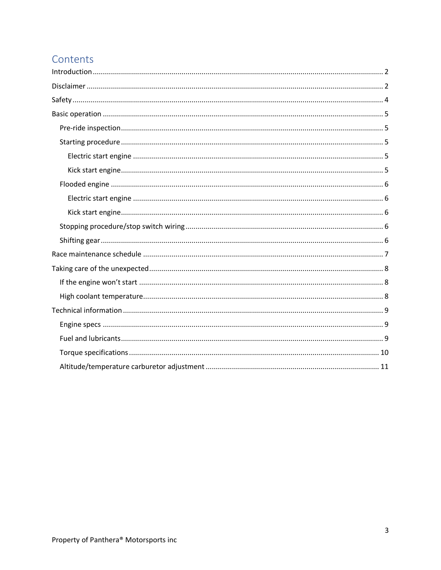# Contents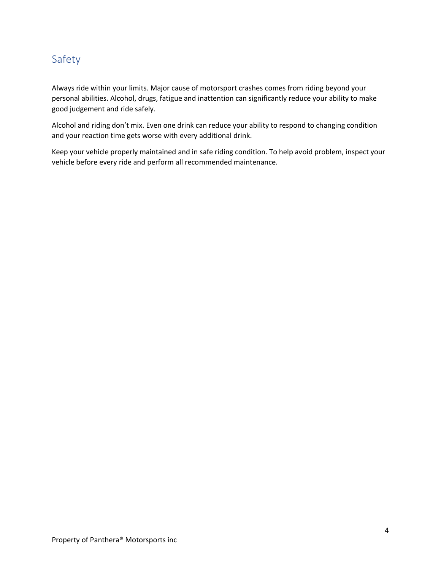## <span id="page-3-0"></span>Safety

Always ride within your limits. Major cause of motorsport crashes comes from riding beyond your personal abilities. Alcohol, drugs, fatigue and inattention can significantly reduce your ability to make good judgement and ride safely.

Alcohol and riding don't mix. Even one drink can reduce your ability to respond to changing condition and your reaction time gets worse with every additional drink.

Keep your vehicle properly maintained and in safe riding condition. To help avoid problem, inspect your vehicle before every ride and perform all recommended maintenance.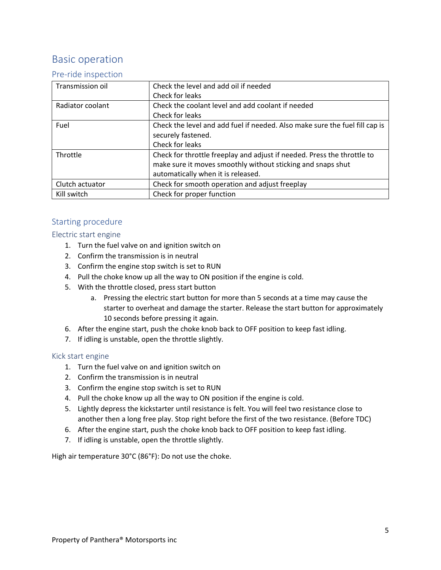## <span id="page-4-0"></span>Basic operation

#### <span id="page-4-1"></span>Pre-ride inspection

| Transmission oil | Check the level and add oil if needed                                       |
|------------------|-----------------------------------------------------------------------------|
|                  | Check for leaks                                                             |
| Radiator coolant | Check the coolant level and add coolant if needed                           |
|                  | Check for leaks                                                             |
| Fuel             | Check the level and add fuel if needed. Also make sure the fuel fill cap is |
|                  | securely fastened.                                                          |
|                  | Check for leaks                                                             |
| Throttle         | Check for throttle freeplay and adjust if needed. Press the throttle to     |
|                  | make sure it moves smoothly without sticking and snaps shut                 |
|                  | automatically when it is released.                                          |
| Clutch actuator  | Check for smooth operation and adjust freeplay                              |
| Kill switch      | Check for proper function                                                   |

### <span id="page-4-2"></span>Starting procedure

#### <span id="page-4-3"></span>Electric start engine

- 1. Turn the fuel valve on and ignition switch on
- 2. Confirm the transmission is in neutral
- 3. Confirm the engine stop switch is set to RUN
- 4. Pull the choke know up all the way to ON position if the engine is cold.
- 5. With the throttle closed, press start button
	- a. Pressing the electric start button for more than 5 seconds at a time may cause the starter to overheat and damage the starter. Release the start button for approximately 10 seconds before pressing it again.
- 6. After the engine start, push the choke knob back to OFF position to keep fast idling.
- 7. If idling is unstable, open the throttle slightly.

#### <span id="page-4-4"></span>Kick start engine

- 1. Turn the fuel valve on and ignition switch on
- 2. Confirm the transmission is in neutral
- 3. Confirm the engine stop switch is set to RUN
- 4. Pull the choke know up all the way to ON position if the engine is cold.
- 5. Lightly depress the kickstarter until resistance is felt. You will feel two resistance close to another then a long free play. Stop right before the first of the two resistance. (Before TDC)
- 6. After the engine start, push the choke knob back to OFF position to keep fast idling.
- 7. If idling is unstable, open the throttle slightly.

High air temperature 30°C (86°F): Do not use the choke.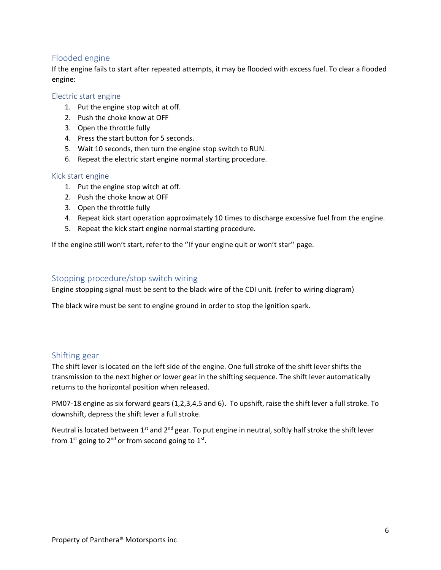### <span id="page-5-0"></span>Flooded engine

If the engine fails to start after repeated attempts, it may be flooded with excess fuel. To clear a flooded engine:

#### <span id="page-5-1"></span>Electric start engine

- 1. Put the engine stop witch at off.
- 2. Push the choke know at OFF
- 3. Open the throttle fully
- 4. Press the start button for 5 seconds.
- 5. Wait 10 seconds, then turn the engine stop switch to RUN.
- 6. Repeat the electric start engine normal starting procedure.

#### <span id="page-5-2"></span>Kick start engine

- 1. Put the engine stop witch at off.
- 2. Push the choke know at OFF
- 3. Open the throttle fully
- 4. Repeat kick start operation approximately 10 times to discharge excessive fuel from the engine.
- 5. Repeat the kick start engine normal starting procedure.

If the engine still won't start, refer to the ''If your engine quit or won't star'' page.

#### <span id="page-5-3"></span>Stopping procedure/stop switch wiring

Engine stopping signal must be sent to the black wire of the CDI unit. (refer to wiring diagram)

The black wire must be sent to engine ground in order to stop the ignition spark.

#### <span id="page-5-4"></span>Shifting gear

The shift lever is located on the left side of the engine. One full stroke of the shift lever shifts the transmission to the next higher or lower gear in the shifting sequence. The shift lever automatically returns to the horizontal position when released.

PM07-18 engine as six forward gears (1,2,3,4,5 and 6). To upshift, raise the shift lever a full stroke. To downshift, depress the shift lever a full stroke.

Neutral is located between  $1^{st}$  and  $2^{nd}$  gear. To put engine in neutral, softly half stroke the shift lever from  $1^{st}$  going to  $2^{nd}$  or from second going to  $1^{st}$ .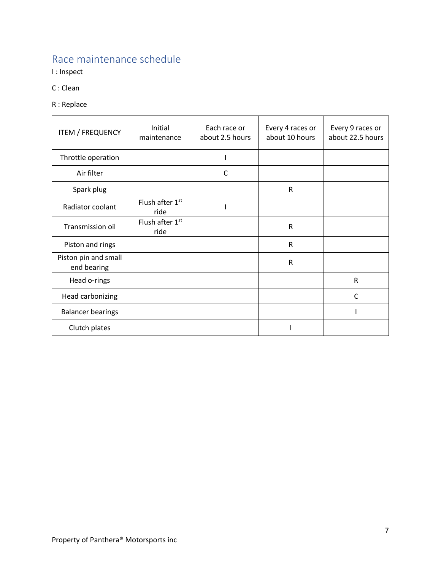# <span id="page-6-0"></span>Race maintenance schedule

I : Inspect

- C : Clean
- R : Replace

| <b>ITEM / FREQUENCY</b>             | Initial<br>maintenance  | Each race or<br>about 2.5 hours | Every 4 races or<br>about 10 hours | Every 9 races or<br>about 22.5 hours |
|-------------------------------------|-------------------------|---------------------------------|------------------------------------|--------------------------------------|
| Throttle operation                  |                         |                                 |                                    |                                      |
| Air filter                          |                         | C                               |                                    |                                      |
| Spark plug                          |                         |                                 | ${\sf R}$                          |                                      |
| Radiator coolant                    | Flush after 1st<br>ride |                                 |                                    |                                      |
| Transmission oil                    | Flush after 1st<br>ride |                                 | $\mathsf R$                        |                                      |
| Piston and rings                    |                         |                                 | ${\sf R}$                          |                                      |
| Piston pin and small<br>end bearing |                         |                                 | R                                  |                                      |
| Head o-rings                        |                         |                                 |                                    | $\mathsf{R}$                         |
| Head carbonizing                    |                         |                                 |                                    | C                                    |
| <b>Balancer bearings</b>            |                         |                                 |                                    |                                      |
| Clutch plates                       |                         |                                 |                                    |                                      |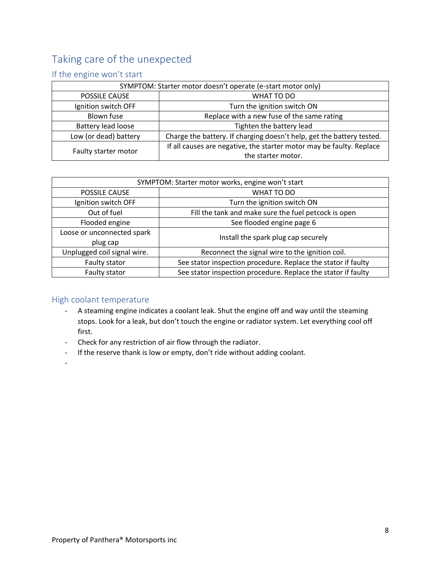# <span id="page-7-0"></span>Taking care of the unexpected

### <span id="page-7-1"></span>If the engine won't start

| SYMPTOM: Starter motor doesn't operate (e-start motor only) |                                                                       |  |
|-------------------------------------------------------------|-----------------------------------------------------------------------|--|
| POSSILE CAUSE                                               | WHAT TO DO                                                            |  |
| Ignition switch OFF                                         | Turn the ignition switch ON                                           |  |
| Blown fuse                                                  | Replace with a new fuse of the same rating                            |  |
| Battery lead loose                                          | Tighten the battery lead                                              |  |
| Low (or dead) battery                                       | Charge the battery. If charging doesn't help, get the battery tested. |  |
| Faulty starter motor                                        | If all causes are negative, the starter motor may be faulty. Replace  |  |
|                                                             | the starter motor.                                                    |  |

| SYMPTOM: Starter motor works, engine won't start |                                                               |  |
|--------------------------------------------------|---------------------------------------------------------------|--|
| POSSILE CAUSE                                    | WHAT TO DO                                                    |  |
| Ignition switch OFF                              | Turn the ignition switch ON                                   |  |
| Out of fuel                                      | Fill the tank and make sure the fuel petcock is open          |  |
| Flooded engine                                   | See flooded engine page 6                                     |  |
| Loose or unconnected spark<br>plug cap           | Install the spark plug cap securely                           |  |
| Unplugged coil signal wire.                      | Reconnect the signal wire to the ignition coil.               |  |
| Faulty stator                                    | See stator inspection procedure. Replace the stator if faulty |  |
| Faulty stator                                    | See stator inspection procedure. Replace the stator if faulty |  |

### <span id="page-7-2"></span>High coolant temperature

- A steaming engine indicates a coolant leak. Shut the engine off and way until the steaming stops. Look for a leak, but don't touch the engine or radiator system. Let everything cool off first.
- Check for any restriction of air flow through the radiator.
- If the reserve thank is low or empty, don't ride without adding coolant.
- -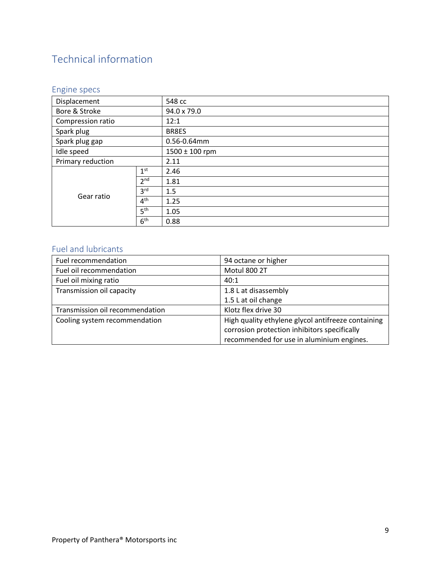# <span id="page-8-0"></span>Technical information

### <span id="page-8-1"></span>Engine specs

| Displacement      |                 | 548 cc             |  |
|-------------------|-----------------|--------------------|--|
| Bore & Stroke     |                 | 94.0 x 79.0        |  |
| Compression ratio |                 | 12:1               |  |
| Spark plug        |                 | BR8ES              |  |
| Spark plug gap    |                 | 0.56-0.64mm        |  |
| Idle speed        |                 | $1500 \pm 100$ rpm |  |
| Primary reduction |                 | 2.11               |  |
| Gear ratio        | 1 <sup>st</sup> | 2.46               |  |
|                   | 2 <sup>nd</sup> | 1.81               |  |
|                   | 3 <sup>rd</sup> | 1.5                |  |
|                   | 4 <sup>th</sup> | 1.25               |  |
|                   | 5 <sup>th</sup> | 1.05               |  |
|                   | 6 <sup>th</sup> | 0.88               |  |

### <span id="page-8-2"></span>Fuel and lubricants

| Fuel recommendation             | 94 octane or higher                                |
|---------------------------------|----------------------------------------------------|
| Fuel oil recommendation         | Motul 800 2T                                       |
| Fuel oil mixing ratio           | 40:1                                               |
| Transmission oil capacity       | 1.8 L at disassembly                               |
|                                 | 1.5 L at oil change                                |
| Transmission oil recommendation | Klotz flex drive 30                                |
| Cooling system recommendation   | High quality ethylene glycol antifreeze containing |
|                                 | corrosion protection inhibitors specifically       |
|                                 | recommended for use in aluminium engines.          |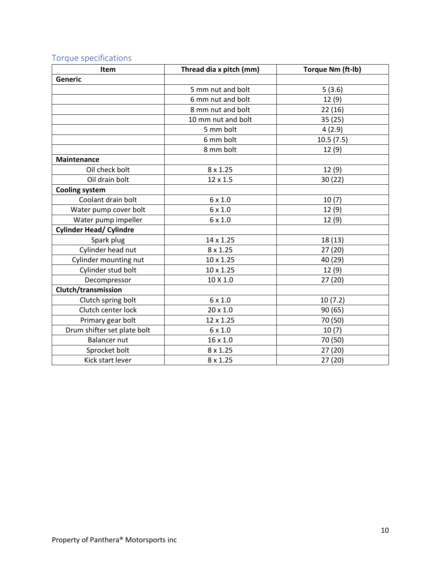<span id="page-9-0"></span>

|  | Torque specifications |
|--|-----------------------|
|--|-----------------------|

| <b>Item</b>                    | Thread dia x pitch (mm) | Torque Nm (ft-lb) |
|--------------------------------|-------------------------|-------------------|
| <b>Generic</b>                 |                         |                   |
|                                | 5 mm nut and bolt       | 5(3.6)            |
|                                | 6 mm nut and bolt       | 12(9)             |
|                                | 8 mm nut and bolt       | 22 (16)           |
|                                | 10 mm nut and bolt      | 35 (25)           |
|                                | 5 mm bolt               | 4(2.9)            |
|                                | 6 mm bolt               | 10.5(7.5)         |
|                                | 8 mm bolt               | 12(9)             |
| <b>Maintenance</b>             |                         |                   |
| Oil check bolt                 | $8 \times 1.25$         | 12(9)             |
| Oil drain bolt                 | 12 x 1.5                | 30 (22)           |
| <b>Cooling system</b>          |                         |                   |
| Coolant drain bolt             | $6 \times 1.0$          | 10(7)             |
| Water pump cover bolt          | $6 \times 1.0$          | 12(9)             |
| Water pump impeller            | $6 \times 1.0$          | 12(9)             |
| <b>Cylinder Head/ Cylindre</b> |                         |                   |
| Spark plug                     | 14 x 1.25               | 18 (13)           |
| Cylinder head nut              | 8 x 1.25                | 27 (20)           |
| Cylinder mounting nut          | 10 x 1.25               | 40 (29)           |
| Cylinder stud bolt             | 10 x 1.25               | 12(9)             |
| Decompressor                   | 10 X 1.0                | 27(20)            |
| Clutch/transmission            |                         |                   |
| Clutch spring bolt             | $6 \times 1.0$          | 10(7.2)           |
| Clutch center lock             | 20 x 1.0                | 90 (65)           |
| Primary gear bolt              | 12 x 1.25               | 70 (50)           |
| Drum shifter set plate bolt    | $6 \times 1.0$          | 10(7)             |
| <b>Balancer nut</b>            | 16 x 1.0                | 70 (50)           |
| Sprocket bolt                  | $8 \times 1.25$         | 27 (20)           |
| Kick start lever               | $8 \times 1.25$         | 27 (20)           |